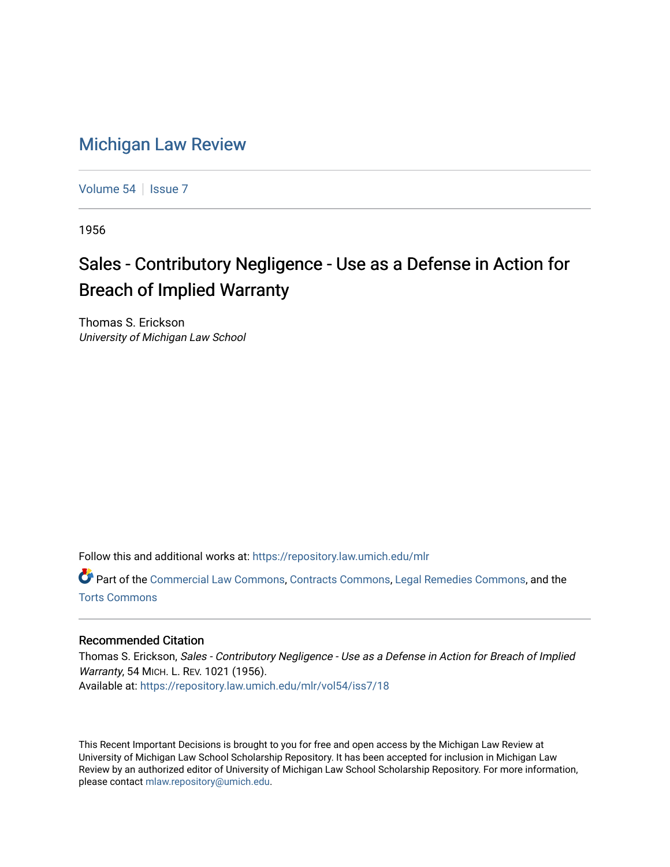## [Michigan Law Review](https://repository.law.umich.edu/mlr)

[Volume 54](https://repository.law.umich.edu/mlr/vol54) | [Issue 7](https://repository.law.umich.edu/mlr/vol54/iss7)

1956

## Sales - Contributory Negligence - Use as a Defense in Action for Breach of Implied Warranty

Thomas S. Erickson University of Michigan Law School

Follow this and additional works at: [https://repository.law.umich.edu/mlr](https://repository.law.umich.edu/mlr?utm_source=repository.law.umich.edu%2Fmlr%2Fvol54%2Fiss7%2F18&utm_medium=PDF&utm_campaign=PDFCoverPages) 

Part of the [Commercial Law Commons](http://network.bepress.com/hgg/discipline/586?utm_source=repository.law.umich.edu%2Fmlr%2Fvol54%2Fiss7%2F18&utm_medium=PDF&utm_campaign=PDFCoverPages), [Contracts Commons,](http://network.bepress.com/hgg/discipline/591?utm_source=repository.law.umich.edu%2Fmlr%2Fvol54%2Fiss7%2F18&utm_medium=PDF&utm_campaign=PDFCoverPages) [Legal Remedies Commons,](http://network.bepress.com/hgg/discipline/618?utm_source=repository.law.umich.edu%2Fmlr%2Fvol54%2Fiss7%2F18&utm_medium=PDF&utm_campaign=PDFCoverPages) and the [Torts Commons](http://network.bepress.com/hgg/discipline/913?utm_source=repository.law.umich.edu%2Fmlr%2Fvol54%2Fiss7%2F18&utm_medium=PDF&utm_campaign=PDFCoverPages) 

## Recommended Citation

Thomas S. Erickson, Sales - Contributory Negligence - Use as a Defense in Action for Breach of Implied Warranty, 54 MICH. L. REV. 1021 (1956). Available at: [https://repository.law.umich.edu/mlr/vol54/iss7/18](https://repository.law.umich.edu/mlr/vol54/iss7/18?utm_source=repository.law.umich.edu%2Fmlr%2Fvol54%2Fiss7%2F18&utm_medium=PDF&utm_campaign=PDFCoverPages) 

This Recent Important Decisions is brought to you for free and open access by the Michigan Law Review at University of Michigan Law School Scholarship Repository. It has been accepted for inclusion in Michigan Law Review by an authorized editor of University of Michigan Law School Scholarship Repository. For more information, please contact [mlaw.repository@umich.edu.](mailto:mlaw.repository@umich.edu)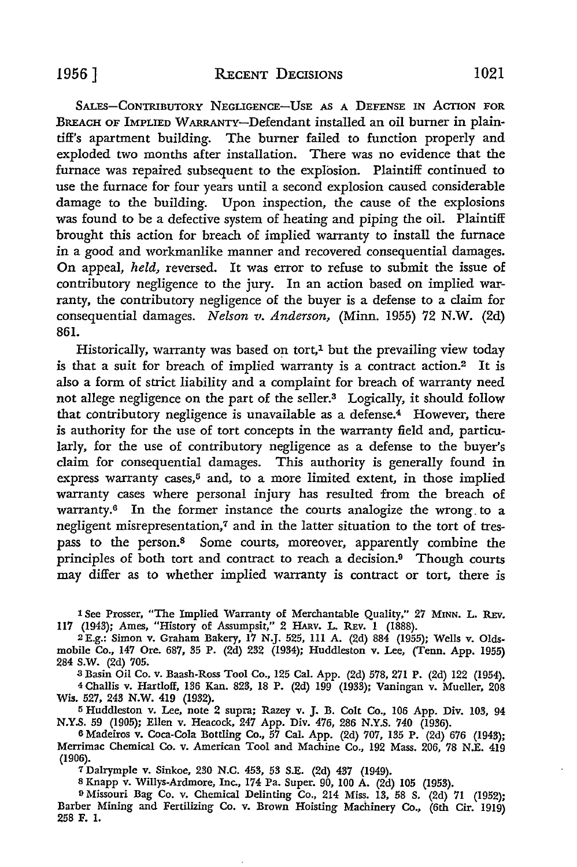SALES-CONTRIBUTORY NEGLIGENCE-USE AS A DEFENSE IN ACTION FOR BREACH OF IMPLIED WARRANTY-Defendant installed an oil burner in plaintiff's apartment building. The burner failed to function properly and exploded two months after installation. There was no evidence that the furnace was repaired subsequent to the explosion. Plaintiff continued to use the furnace for four years until a second explosion caused considerable damage to the building. Upon inspection, the cause of the explosions was found to be a defective system of heating and piping the oil. Plaintiff brought this action for breach of implied warranty to install the furnace in a good and workmanlike manner and recovered consequential damages. **On** appeal, *held,* reversed. It was error to refuse to submit the issue of contributory negligence to the jury. In an action based on implied warranty, the contributory negligence of the buyer is a defense to a claim for consequential damages. *Nelson v. Anderson*, *(Minn. 1955) 72 N.W. (2d)* 861.

Historically, warranty was based on tort, $1$  but the prevailing view today is that a suit for breach of implied warranty is a contract action.2 It is also a form of strict liability and a complaint for breach of warranty need not allege negligence on the part of the seller.3 Logically, it should follow that contributory negligence is unavailable as a defense. $4$  However, there is authority for the use of tort concepts in the warranty field and, particularly, for the use of contributory negligence as a defense to the buyer's claim for consequential damages. This authority is generally found in express warranty cases,<sup>5</sup> and, to a more limited extent, in those implied warranty cases where personal injury has resulted from the breach of warranty. $6$  In the former instance the courts analogize the wrong to a negligent misrepresentation,<sup>7</sup> and in the latter situation to the tort of trespass to the person.8 Some courts, moreover, apparently combine the principles of both tort and contract to reach a decision.9 Though courts may differ as to whether implied warranty is contract or tort, there is

1 See Prosser, "The Implied Warranty of Merchantable Quality," 27 MINN. L. REv. 117 (1943); Ames, "History of Assumpsit," 2 HARv. L. REv. 1 (1888).

2 E.g.: Simon v. Graham Bakery, 17 N.J. 525, 111 A. (2d) 884 (1955); Wells v. Oldsmobile Co., 147 Ore. 687, 35 P. (2d) 232 (1934); Huddleston v. Lee, (Tenn. App. 1955) 284 S.W. (2d) 705.

<sup>3</sup>Basin Oil Co. v. Baash-Ross Tool Co., 125 Cal. App. (2d) 578, 271 P. (2d) 122 (1954).

4 Challis v. Hartloff, 136 Kan. 823, 18 P. (2d) 199 (1933); Vaningan v. Mueller, 208 Wis. 527, 243 N.W. 419 (1932).

<sup>5</sup>Huddleston v. Lee, note 2 supra; Razey v. J. B. Colt Co., 106 App. Div. 103, 94 N.Y.S. 59 (1905); Ellen v. Heacock, 247 App. Div. 476, 286 N.Y.S. 740 (1936).

6 Madeiros v. Coca-Cola Bottling Co., 57 Cal. App. (2d) 707, 135 P. (2d) 676 (1943); Merrimac Chemical Co. v. American Tool and Machine Co., 192 Mass. 206, 78 N.E. 419 (1906).

7 Dalrymple v. Sinkoe, 230 N.C. 453, 53 S.E. (2d) 437 (1949).

8 Knapp v. Willys-Ardmore, Inc., 174 Pa. Super. 90, 100 A. (2d) 105 (1953).

<sup>9</sup> Missouri Bag Co. v. Chemical Delinting Co., 214 Miss. 13, 58 S. (2d) 71 (1952); Barber Mining and Fertilizing Co. v. Brown Hoisting Machinery Co., (6th Cir. 1919) 258 F. I.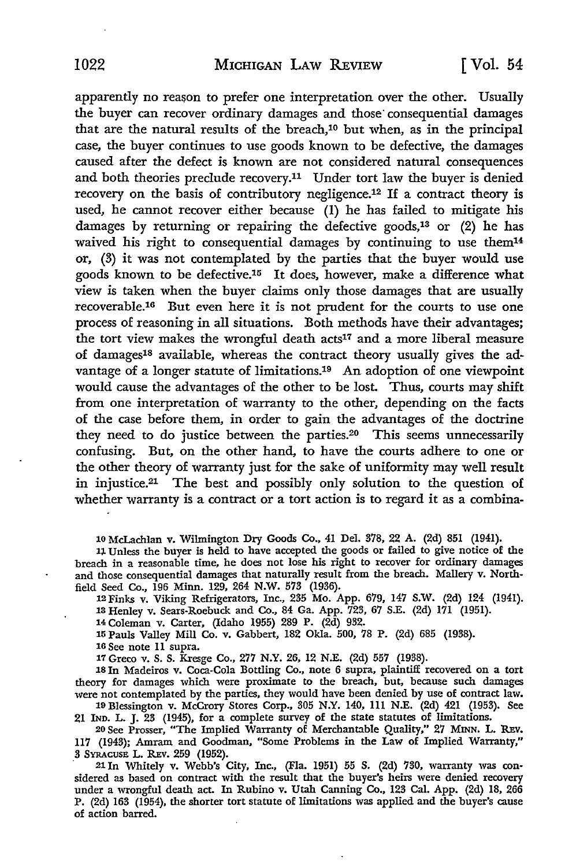apparently no reason to prefer one interpretation over the other. Usually the buyer can recover ordinary damages and those consequential damages that are the natural results of the breach,10 but when, as in the principal case, the buyer continues to use goods known to be defective, the damages caused after the defect is known are not considered natural consequences and both theories preclude recovery.11 Under tort law the buyer is denied recovery on the basis of contributory negligence.12 If a contract theory is used, he cannot recover either because (1) he has failed to mitigate his damages by returning or repairing the defective goods,<sup>13</sup> or  $(2)$  he has waived his right to consequential damages by continuing to use them14 or, (3) it was not contemplated by the parties that the buyer would use goods known to be defective.15 It does, however, make a difference what view is taken when the buyer claims only those damages that are usually recoverable.16 But even here it is not prudent for the courts to use one process of reasoning in all situations. Both methods have their advantages; the tort view makes the wrongful death acts<sup>17</sup> and a more liberal measure of damages18 available, whereas the contract theory usually gives the advantage of a longer statute of limitations.19 An adoption of one viewpoint would cause the advantages of the other to be lost. Thus, courts may shift from one interpretation of warranty to the other, depending on the facts of the case before them, in order to gain the advantages of the doctrine they need to do justice between the parties.20 This seems unnecessarily confusing. But, on the other hand, to have the courts adhere to one or the other theory of warranty just for the sake of uniformity may well result in injustice.21 The best and possibly only solution to the question of whether warranty is a contract or a tort action is to regard it as a combina-

10 McLachlan v. Wilmington Dry Goods Co., 41 Del. 378, 22 A. (2d) 851 (1941).

11 Unless the buyer is held to have accepted the goods or failed to give notice of the breach in a reasonable time, he does not lose his right to recover for ordinary damages and those consequential damages that naturally result from the breach. Mallery v. Northfield Seed Co., 196 Minn. 129, 264 N.W. 573 (1936).

12Finks v. Viking Refrigerators, Inc., 235 Mo. App. 679, 147 S.W. (2d) 124 (1941). 13 Henley v. Sears-Roebuck and Co., 84 Ga. App. 723, 67 S.E. (2d) 171 (1951).

14 Coleman v. Carter, (Idaho 1955) 289 P. (2d) 932.

15 Pauls Valley Mill Co. v. Gabbert, 182 Okla. 500, 78 P. (2d) 685 (1938).

16 See note 11 supra.

17 Greco v. S. S. Kresge Co., 277 N.Y. 26, 12 N.E. (2d) 557 (1938).

18 In Madeiros v. Coca-Cola Bottling Co., note 6 supra, plaintiff recovered on a tort theory for damages which were proximate to the breach, but, because such damages were not contemplated by the parties, they would have been denied by use of contract law. 19 Blessington v. McCrory Stores Corp., 305 N.Y. 140, 111 N.E. (2d) 421 (1953). See

21 IND. L. J. 23 (1945), for a complete survey of the state statutes of limitations.

20 See Prosser, "The Implied Warranty of Merchantable Quality," 27 MINN. L. REv. 117 (1943); Amram and Goodman, "Some Problems in the Law of Implied Warranty," 3 SYRACUSE L. REV. 259 (1952).

· 21 In Whitely v. Webb's City, Inc., (Fla. 1951) 55 S. (2d) 730, warranty was considered as based on contract with the result that the buyer's heirs were denied recovery under a wrongful death act. In Rubino v. Utah Canning Co., 123 Cal. App. (2d) 18, 266 P. (2d) 163 (1954), the shorter tort statute of limitations was applied and the buyer's cause of action barred.